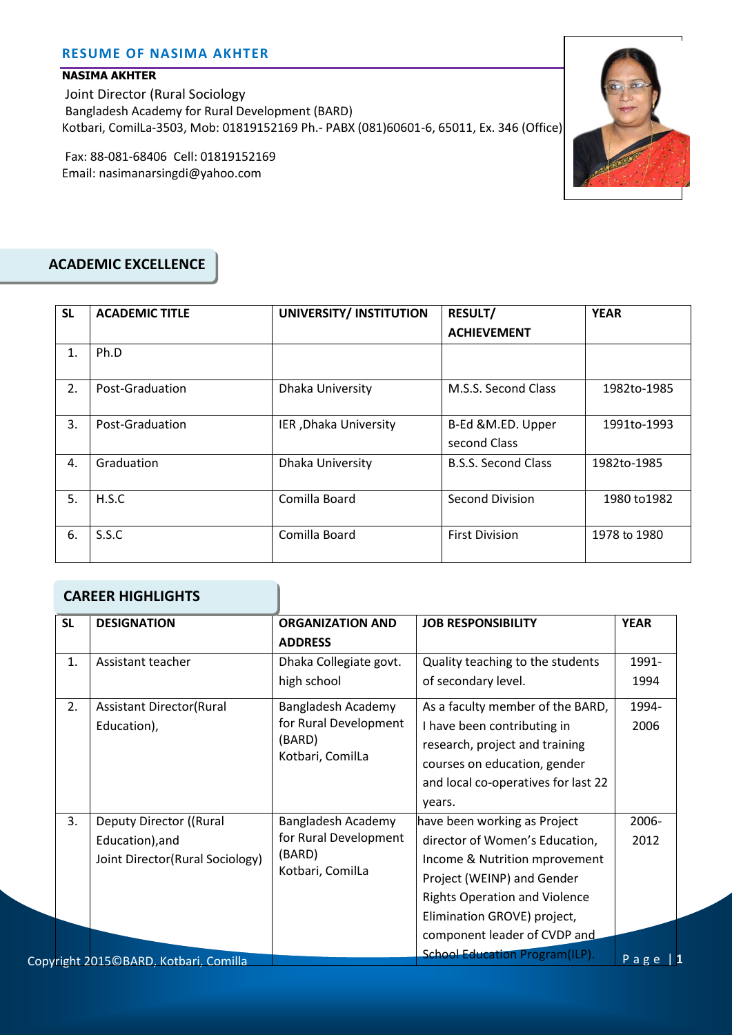#### **NASIMA AKHTER**

Joint Director (Rural Sociology Bangladesh Academy for Rural Development (BARD) Kotbari, ComilLa-3503, Mob: 01819152169 Ph.- PABX (081)60601-6, 65011, Ex. 346 (Office)

Fax: 88-081-68406 Cell: 01819152169 Email: nasimanarsingdi@yahoo.com



# **ACADEMIC EXCELLENCE**

| <b>SL</b> | <b>ACADEMIC TITLE</b> | UNIVERSITY/ INSTITUTION | <b>RESULT/</b>                    | <b>YEAR</b>  |
|-----------|-----------------------|-------------------------|-----------------------------------|--------------|
|           |                       |                         | <b>ACHIEVEMENT</b>                |              |
| 1.        | Ph.D                  |                         |                                   |              |
| 2.        | Post-Graduation       | Dhaka University        | M.S.S. Second Class               | 1982to-1985  |
| 3.        | Post-Graduation       | IER, Dhaka University   | B-Ed &M.ED. Upper<br>second Class | 1991to-1993  |
| 4.        | Graduation            | Dhaka University        | <b>B.S.S. Second Class</b>        | 1982to-1985  |
| 5.        | H.S.C                 | Comilla Board           | Second Division                   | 1980 to 1982 |
| 6.        | S.S.C                 | Comilla Board           | <b>First Division</b>             | 1978 to 1980 |

#### **CAREER HIGHLIGHTS**

| <b>SL</b> | <b>DESIGNATION</b>                    | <b>ORGANIZATION AND</b><br><b>ADDRESS</b>           | <b>JOB RESPONSIBILITY</b>             | <b>YEAR</b> |
|-----------|---------------------------------------|-----------------------------------------------------|---------------------------------------|-------------|
| 1.        | Assistant teacher                     | Dhaka Collegiate govt.                              | Quality teaching to the students      | 1991-       |
|           |                                       | high school                                         | of secondary level.                   | 1994        |
| 2.        | <b>Assistant Director(Rural</b>       | Bangladesh Academy                                  | As a faculty member of the BARD,      | 1994-       |
|           | Education),                           | for Rural Development<br>(BARD)<br>Kotbari, ComilLa | I have been contributing in           | 2006        |
|           |                                       |                                                     | research, project and training        |             |
|           |                                       |                                                     | courses on education, gender          |             |
|           |                                       |                                                     | and local co-operatives for last 22   |             |
|           |                                       |                                                     | years.                                |             |
| 3.        | Deputy Director ((Rural               | Bangladesh Academy                                  | have been working as Project          | 2006-       |
|           | Education), and                       | for Rural Development<br>(BARD)<br>Kotbari, ComilLa | director of Women's Education,        | 2012        |
|           | Joint Director(Rural Sociology)       |                                                     | Income & Nutrition mprovement         |             |
|           |                                       |                                                     | Project (WEINP) and Gender            |             |
|           |                                       |                                                     | <b>Rights Operation and Violence</b>  |             |
|           |                                       |                                                     | Elimination GROVE) project,           |             |
|           |                                       |                                                     | component leader of CVDP and          |             |
|           | Copyright 2015©BARD, Kotbari, Comilla |                                                     | <b>School Education Program(ILP).</b> | $P$ a $g$ e |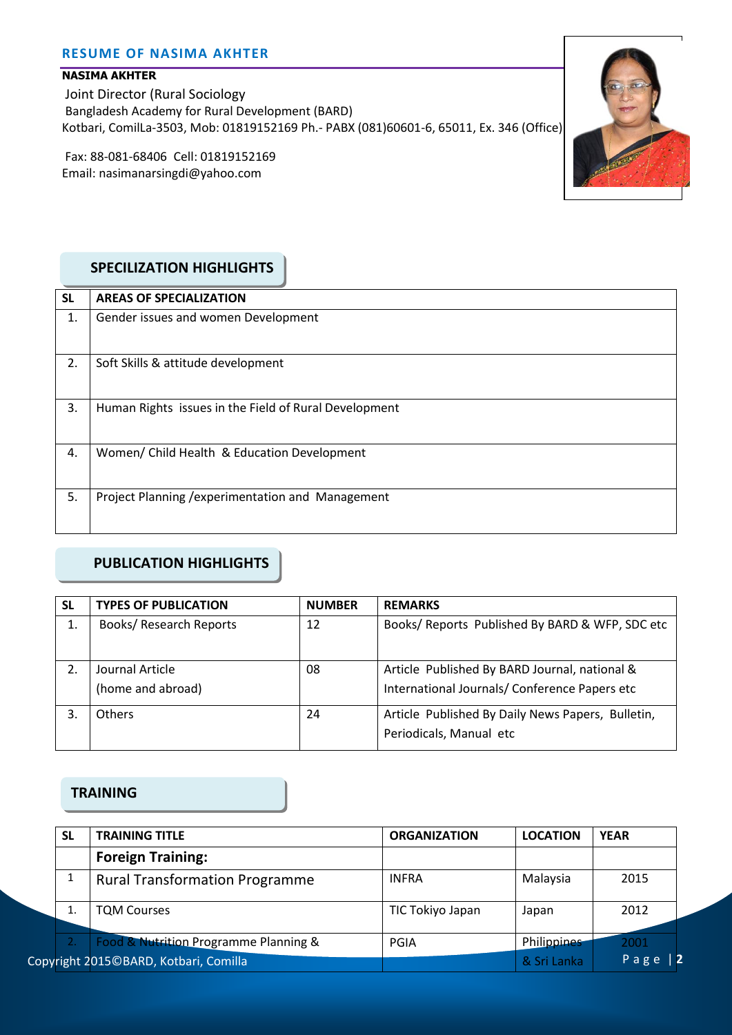### **NASIMA AKHTER**

Joint Director (Rural Sociology Bangladesh Academy for Rural Development (BARD) Kotbari, ComilLa-3503, Mob: 01819152169 Ph.- PABX (081)60601-6, 65011, Ex. 346 (Office)

Fax: 88-081-68406 Cell: 01819152169 Email: nasimanarsingdi@yahoo.com



## **SPECILIZATION HIGHLIGHTS**

| <b>SL</b> | <b>AREAS OF SPECIALIZATION</b>                        |
|-----------|-------------------------------------------------------|
| 1.        | Gender issues and women Development                   |
| 2.        | Soft Skills & attitude development                    |
| 3.        | Human Rights issues in the Field of Rural Development |
| 4.        | Women/ Child Health & Education Development           |
| 5.        | Project Planning / experimentation and Management     |

# **PUBLICATION HIGHLIGHTS**

| <b>SL</b> | <b>TYPES OF PUBLICATION</b>    | <b>NUMBER</b> | <b>REMARKS</b>                                    |
|-----------|--------------------------------|---------------|---------------------------------------------------|
| 1.        | <b>Books/ Research Reports</b> | 12            | Books/ Reports Published By BARD & WFP, SDC etc   |
| 2.        | Journal Article                | 08            | Article Published By BARD Journal, national &     |
|           | (home and abroad)              |               | International Journals/ Conference Papers etc     |
| 3.        | <b>Others</b>                  | 24            | Article Published By Daily News Papers, Bulletin, |
|           |                                |               | Periodicals, Manual etc                           |

### **TRAINING**

| <b>SL</b> | <b>TRAINING TITLE</b>                 | <b>ORGANIZATION</b> | <b>LOCATION</b>    | <b>YEAR</b> |
|-----------|---------------------------------------|---------------------|--------------------|-------------|
|           | <b>Foreign Training:</b>              |                     |                    |             |
|           | <b>Rural Transformation Programme</b> | <b>INFRA</b>        | Malaysia           | 2015        |
|           | <b>TQM Courses</b>                    | TIC Tokiyo Japan    | Japan              | 2012        |
|           | Food & Nutrition Programme Planning & | PGIA                | <b>Philippines</b> | 2001        |
|           | Copyright 2015©BARD, Kotbari, Comilla |                     | & Sri Lanka        | Page        |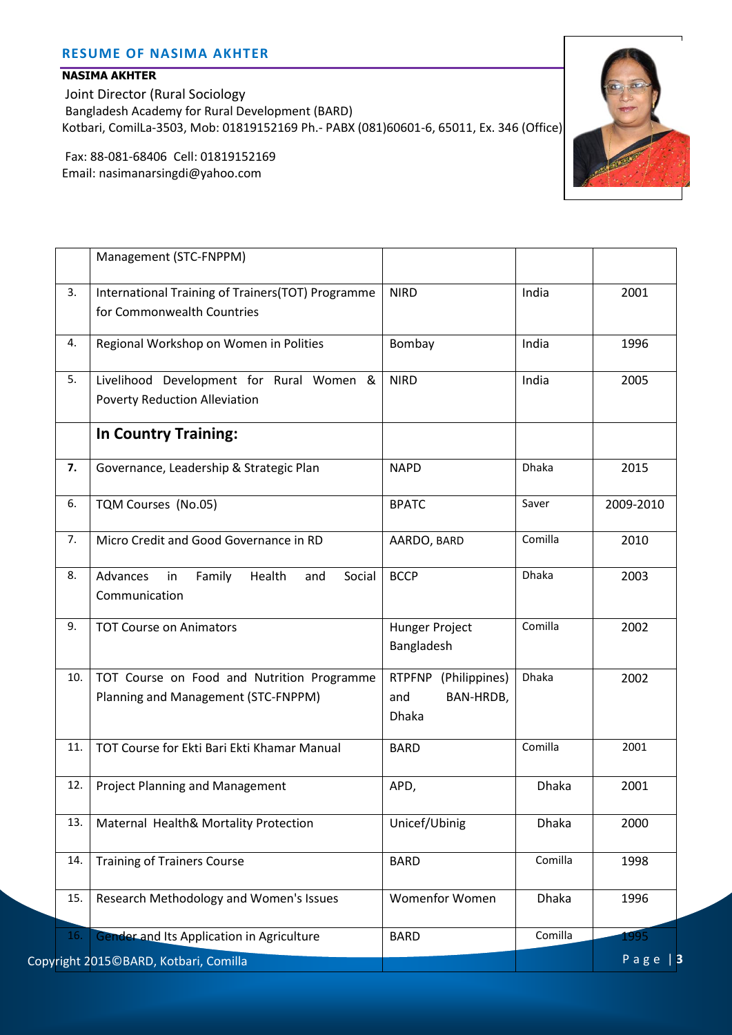#### **NASIMA AKHTER**

Joint Director (Rural Sociology Bangladesh Academy for Rural Development (BARD) Kotbari, ComilLa-3503, Mob: 01819152169 Ph.- PABX (081)60601-6, 65011, Ex. 346 (Office)

Fax: 88-081-68406 Cell: 01819152169 Email: nasimanarsingdi@yahoo.com



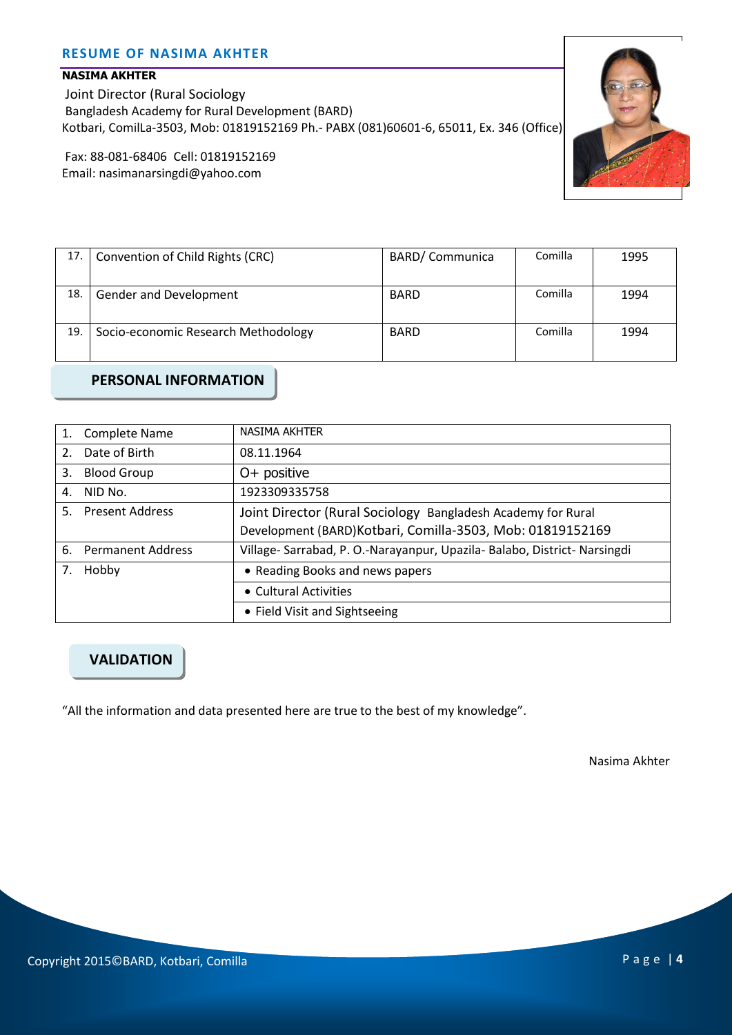### **NASIMA AKHTER**

Joint Director (Rural Sociology Bangladesh Academy for Rural Development (BARD) Kotbari, ComilLa-3503, Mob: 01819152169 Ph.- PABX (081)60601-6, 65011, Ex. 346 (Office)

Fax: 88-081-68406 Cell: 01819152169 Email: nasimanarsingdi@yahoo.com



| 17. | Convention of Child Rights (CRC)    | <b>BARD/Communica</b> | Comilla | 1995 |
|-----|-------------------------------------|-----------------------|---------|------|
|     |                                     |                       |         |      |
| 18. | Gender and Development              | <b>BARD</b>           | Comilla | 1994 |
| 19. | Socio-economic Research Methodology | <b>BARD</b>           | Comilla | 1994 |

**PERSONAL INFORMATION**

| 1.             | <b>Complete Name</b>   | NASIMA AKHTER                                                          |
|----------------|------------------------|------------------------------------------------------------------------|
| 2 <sup>1</sup> | Date of Birth          | 08.11.1964                                                             |
| 3.             | <b>Blood Group</b>     | $O+$ positive                                                          |
| 4.             | NID No.                | 1923309335758                                                          |
| 5.             | <b>Present Address</b> | Joint Director (Rural Sociology Bangladesh Academy for Rural           |
|                |                        | Development (BARD) Kotbari, Comilla-3503, Mob: 01819152169             |
|                | 6. Permanent Address   | Village-Sarrabad, P. O.-Narayanpur, Upazila-Balabo, District-Narsingdi |
|                | Hobby                  | • Reading Books and news papers                                        |
|                |                        | • Cultural Activities                                                  |
|                |                        | • Field Visit and Sightseeing                                          |

# **VALIDATION**

"All the information and data presented here are true to the best of my knowledge".

Nasima Akhter